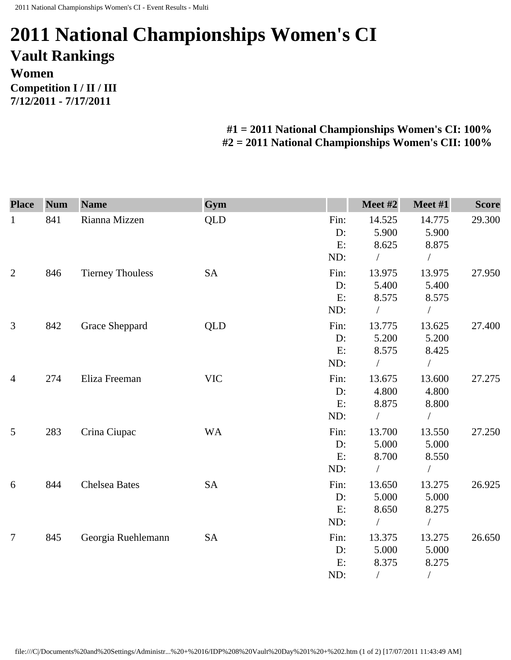## **2011 National Championships Women's CI Vault Rankings Women Competition I / II / III 7/12/2011 - 7/17/2011**

## **#1 = 2011 National Championships Women's CI: 100% #2 = 2011 National Championships Women's CII: 100%**

| <b>Place</b>   | <b>Num</b> | <b>Name</b>             | Gym        |      | Meet #2    | Meet #1       | <b>Score</b> |
|----------------|------------|-------------------------|------------|------|------------|---------------|--------------|
| $\mathbf{1}$   | 841        | Rianna Mizzen           | <b>QLD</b> | Fin: | 14.525     | 14.775        | 29.300       |
|                |            |                         |            | D:   | 5.900      | 5.900         |              |
|                |            |                         |            | E:   | 8.625      | 8.875         |              |
|                |            |                         |            | ND:  | $\sqrt{2}$ | $\bigg)$      |              |
| $\overline{2}$ | 846        | <b>Tierney Thouless</b> | <b>SA</b>  | Fin: | 13.975     | 13.975        | 27.950       |
|                |            |                         |            | D:   | 5.400      | 5.400         |              |
|                |            |                         |            | E:   | 8.575      | 8.575         |              |
|                |            |                         |            | ND:  | $\sqrt{2}$ | $\sqrt{2}$    |              |
| 3              | 842        | Grace Sheppard          | QLD        | Fin: | 13.775     | 13.625        | 27.400       |
|                |            |                         |            | D:   | 5.200      | 5.200         |              |
|                |            |                         |            | E:   | 8.575      | 8.425         |              |
|                |            |                         |            | ND:  | $\sqrt{2}$ | $\frac{1}{2}$ |              |
| $\overline{4}$ | 274        | Eliza Freeman           | <b>VIC</b> | Fin: | 13.675     | 13.600        | 27.275       |
|                |            |                         |            | D:   | 4.800      | 4.800         |              |
|                |            |                         |            | E:   | 8.875      | 8.800         |              |
|                |            |                         |            | ND:  | $\sqrt{2}$ | $\sqrt{2}$    |              |
| 5              | 283        | Crina Ciupac            | <b>WA</b>  | Fin: | 13.700     | 13.550        | 27.250       |
|                |            |                         |            | D:   | 5.000      | 5.000         |              |
|                |            |                         |            | E:   | 8.700      | 8.550         |              |
|                |            |                         |            | ND:  | $\sqrt{2}$ | $\sqrt{2}$    |              |
| 6              | 844        | <b>Chelsea Bates</b>    | <b>SA</b>  | Fin: | 13.650     | 13.275        | 26.925       |
|                |            |                         |            | D:   | 5.000      | 5.000         |              |
|                |            |                         |            | E:   | 8.650      | 8.275         |              |
|                |            |                         |            | ND:  | $\sqrt{2}$ | $\sqrt{2}$    |              |
| $\overline{7}$ | 845        | Georgia Ruehlemann      | <b>SA</b>  | Fin: | 13.375     | 13.275        | 26.650       |
|                |            |                         |            | D:   | 5.000      | 5.000         |              |
|                |            |                         |            | E:   | 8.375      | 8.275         |              |
|                |            |                         |            | ND:  | $\sqrt{2}$ | $\sqrt{2}$    |              |